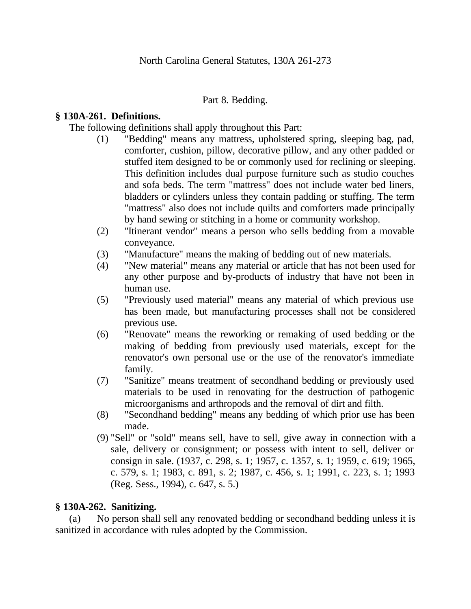### Part 8. Bedding.

## **§ 130A-261. Definitions.**

The following definitions shall apply throughout this Part:

- (1) "Bedding" means any mattress, upholstered spring, sleeping bag, pad, comforter, cushion, pillow, decorative pillow, and any other padded or stuffed item designed to be or commonly used for reclining or sleeping. This definition includes dual purpose furniture such as studio couches and sofa beds. The term "mattress" does not include water bed liners, bladders or cylinders unless they contain padding or stuffing. The term "mattress" also does not include quilts and comforters made principally by hand sewing or stitching in a home or community workshop.
- (2) "Itinerant vendor" means a person who sells bedding from a movable conveyance.
- (3) "Manufacture" means the making of bedding out of new materials.
- (4) "New material" means any material or article that has not been used for any other purpose and by-products of industry that have not been in human use.
- (5) "Previously used material" means any material of which previous use has been made, but manufacturing processes shall not be considered previous use.
- (6) "Renovate" means the reworking or remaking of used bedding or the making of bedding from previously used materials, except for the renovator's own personal use or the use of the renovator's immediate family.
- (7) "Sanitize" means treatment of secondhand bedding or previously used materials to be used in renovating for the destruction of pathogenic microorganisms and arthropods and the removal of dirt and filth.
- (8) "Secondhand bedding" means any bedding of which prior use has been made.
- (9) "Sell" or "sold" means sell, have to sell, give away in connection with a sale, delivery or consignment; or possess with intent to sell, deliver or consign in sale. (1937, c. 298, s. 1; 1957, c. 1357, s. 1; 1959, c. 619; 1965, c. 579, s. 1; 1983, c. 891, s. 2; 1987, c. 456, s. 1; 1991, c. 223, s. 1; 1993 (Reg. Sess., 1994), c. 647, s. 5.)

#### **§ 130A-262. Sanitizing.**

(a) No person shall sell any renovated bedding or secondhand bedding unless it is sanitized in accordance with rules adopted by the Commission.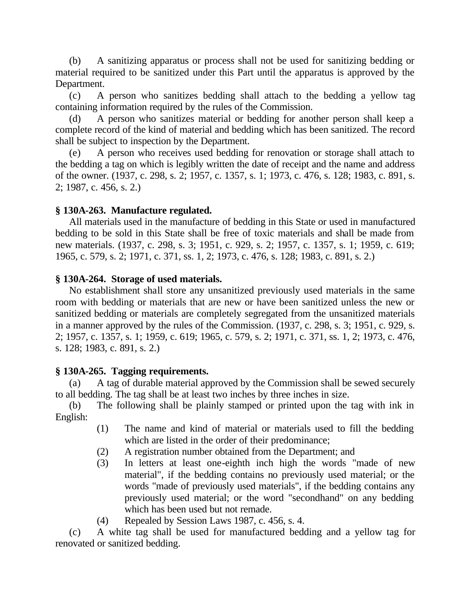(b) A sanitizing apparatus or process shall not be used for sanitizing bedding or material required to be sanitized under this Part until the apparatus is approved by the Department.

(c) A person who sanitizes bedding shall attach to the bedding a yellow tag containing information required by the rules of the Commission.

(d) A person who sanitizes material or bedding for another person shall keep a complete record of the kind of material and bedding which has been sanitized. The record shall be subject to inspection by the Department.

(e) A person who receives used bedding for renovation or storage shall attach to the bedding a tag on which is legibly written the date of receipt and the name and address of the owner. (1937, c. 298, s. 2; 1957, c. 1357, s. 1; 1973, c. 476, s. 128; 1983, c. 891, s. 2; 1987, c. 456, s. 2.)

# **§ 130A-263. Manufacture regulated.**

All materials used in the manufacture of bedding in this State or used in manufactured bedding to be sold in this State shall be free of toxic materials and shall be made from new materials. (1937, c. 298, s. 3; 1951, c. 929, s. 2; 1957, c. 1357, s. 1; 1959, c. 619; 1965, c. 579, s. 2; 1971, c. 371, ss. 1, 2; 1973, c. 476, s. 128; 1983, c. 891, s. 2.)

### **§ 130A-264. Storage of used materials.**

No establishment shall store any unsanitized previously used materials in the same room with bedding or materials that are new or have been sanitized unless the new or sanitized bedding or materials are completely segregated from the unsanitized materials in a manner approved by the rules of the Commission. (1937, c. 298, s. 3; 1951, c. 929, s. 2; 1957, c. 1357, s. 1; 1959, c. 619; 1965, c. 579, s. 2; 1971, c. 371, ss. 1, 2; 1973, c. 476, s. 128; 1983, c. 891, s. 2.)

# **§ 130A-265. Tagging requirements.**

A tag of durable material approved by the Commission shall be sewed securely to all bedding. The tag shall be at least two inches by three inches in size.

(b) The following shall be plainly stamped or printed upon the tag with ink in English:

- (1) The name and kind of material or materials used to fill the bedding which are listed in the order of their predominance;
- (2) A registration number obtained from the Department; and
- (3) In letters at least one-eighth inch high the words "made of new material", if the bedding contains no previously used material; or the words "made of previously used materials", if the bedding contains any previously used material; or the word "secondhand" on any bedding which has been used but not remade.
- (4) Repealed by Session Laws 1987, c. 456, s. 4.

(c) A white tag shall be used for manufactured bedding and a yellow tag for renovated or sanitized bedding.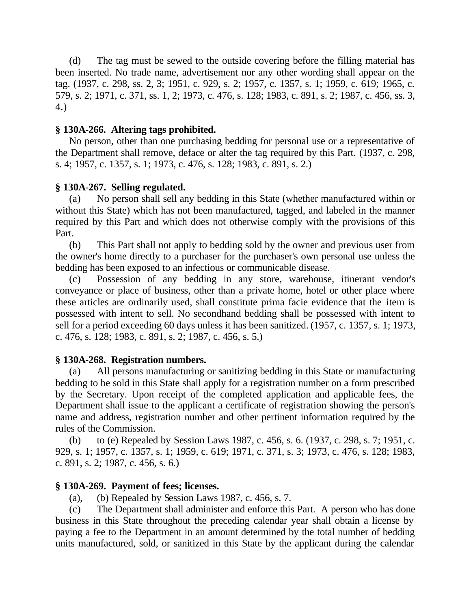(d) The tag must be sewed to the outside covering before the filling material has been inserted. No trade name, advertisement nor any other wording shall appear on the tag. (1937, c. 298, ss. 2, 3; 1951, c. 929, s. 2; 1957, c. 1357, s. 1; 1959, c. 619; 1965, c. 579, s. 2; 1971, c. 371, ss. 1, 2; 1973, c. 476, s. 128; 1983, c. 891, s. 2; 1987, c. 456, ss. 3, 4.)

# **§ 130A-266. Altering tags prohibited.**

No person, other than one purchasing bedding for personal use or a representative of the Department shall remove, deface or alter the tag required by this Part. (1937, c. 298, s. 4; 1957, c. 1357, s. 1; 1973, c. 476, s. 128; 1983, c. 891, s. 2.)

# **§ 130A-267. Selling regulated.**

(a) No person shall sell any bedding in this State (whether manufactured within or without this State) which has not been manufactured, tagged, and labeled in the manner required by this Part and which does not otherwise comply with the provisions of this Part.

(b) This Part shall not apply to bedding sold by the owner and previous user from the owner's home directly to a purchaser for the purchaser's own personal use unless the bedding has been exposed to an infectious or communicable disease.

(c) Possession of any bedding in any store, warehouse, itinerant vendor's conveyance or place of business, other than a private home, hotel or other place where these articles are ordinarily used, shall constitute prima facie evidence that the item is possessed with intent to sell. No secondhand bedding shall be possessed with intent to sell for a period exceeding 60 days unless it has been sanitized. (1957, c. 1357, s. 1; 1973, c. 476, s. 128; 1983, c. 891, s. 2; 1987, c. 456, s. 5.)

# **§ 130A-268. Registration numbers.**

(a) All persons manufacturing or sanitizing bedding in this State or manufacturing bedding to be sold in this State shall apply for a registration number on a form prescribed by the Secretary. Upon receipt of the completed application and applicable fees, the Department shall issue to the applicant a certificate of registration showing the person's name and address, registration number and other pertinent information required by the rules of the Commission.

(b) to (e) Repealed by Session Laws 1987, c. 456, s. 6. (1937, c. 298, s. 7; 1951, c. 929, s. 1; 1957, c. 1357, s. 1; 1959, c. 619; 1971, c. 371, s. 3; 1973, c. 476, s. 128; 1983, c. 891, s. 2; 1987, c. 456, s. 6.)

# **§ 130A-269. Payment of fees; licenses.**

(a), (b) Repealed by Session Laws 1987, c. 456, s. 7.

(c) The Department shall administer and enforce this Part. A person who has done business in this State throughout the preceding calendar year shall obtain a license by paying a fee to the Department in an amount determined by the total number of bedding units manufactured, sold, or sanitized in this State by the applicant during the calendar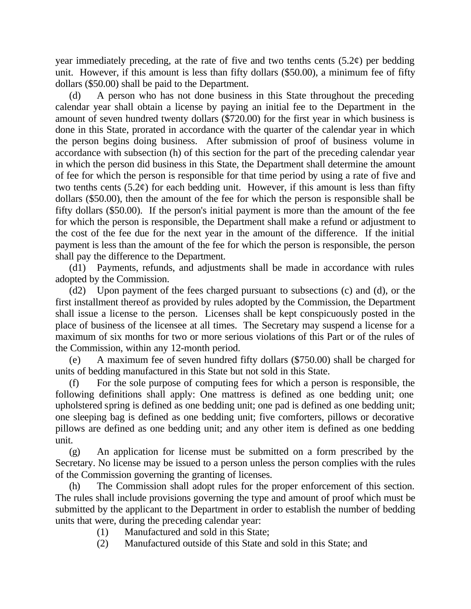year immediately preceding, at the rate of five and two tenths cents  $(5.2\ell)$  per bedding unit. However, if this amount is less than fifty dollars (\$50.00), a minimum fee of fifty dollars (\$50.00) shall be paid to the Department.

(d) A person who has not done business in this State throughout the preceding calendar year shall obtain a license by paying an initial fee to the Department in the amount of seven hundred twenty dollars (\$720.00) for the first year in which business is done in this State, prorated in accordance with the quarter of the calendar year in which the person begins doing business. After submission of proof of business volume in accordance with subsection (h) of this section for the part of the preceding calendar year in which the person did business in this State, the Department shall determine the amount of fee for which the person is responsible for that time period by using a rate of five and two tenths cents  $(5.2\epsilon)$  for each bedding unit. However, if this amount is less than fifty dollars (\$50.00), then the amount of the fee for which the person is responsible shall be fifty dollars (\$50.00). If the person's initial payment is more than the amount of the fee for which the person is responsible, the Department shall make a refund or adjustment to the cost of the fee due for the next year in the amount of the difference. If the initial payment is less than the amount of the fee for which the person is responsible, the person shall pay the difference to the Department.

(d1) Payments, refunds, and adjustments shall be made in accordance with rules adopted by the Commission.

(d2) Upon payment of the fees charged pursuant to subsections (c) and (d), or the first installment thereof as provided by rules adopted by the Commission, the Department shall issue a license to the person. Licenses shall be kept conspicuously posted in the place of business of the licensee at all times. The Secretary may suspend a license for a maximum of six months for two or more serious violations of this Part or of the rules of the Commission, within any 12-month period.

(e) A maximum fee of seven hundred fifty dollars (\$750.00) shall be charged for units of bedding manufactured in this State but not sold in this State.

For the sole purpose of computing fees for which a person is responsible, the following definitions shall apply: One mattress is defined as one bedding unit; one upholstered spring is defined as one bedding unit; one pad is defined as one bedding unit; one sleeping bag is defined as one bedding unit; five comforters, pillows or decorative pillows are defined as one bedding unit; and any other item is defined as one bedding unit.

(g) An application for license must be submitted on a form prescribed by the Secretary. No license may be issued to a person unless the person complies with the rules of the Commission governing the granting of licenses.

(h) The Commission shall adopt rules for the proper enforcement of this section. The rules shall include provisions governing the type and amount of proof which must be submitted by the applicant to the Department in order to establish the number of bedding units that were, during the preceding calendar year:

- (1) Manufactured and sold in this State;
- (2) Manufactured outside of this State and sold in this State; and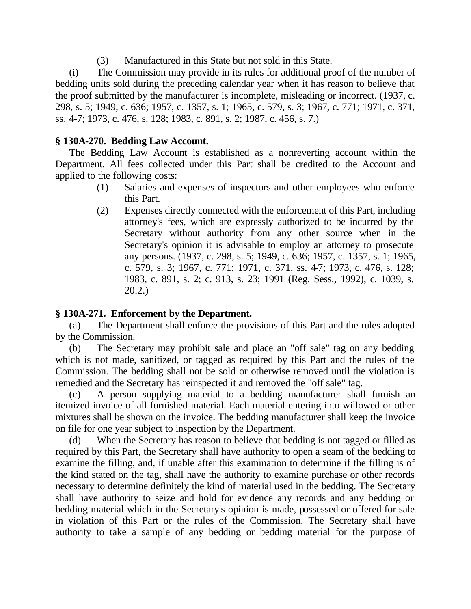(3) Manufactured in this State but not sold in this State.

(i) The Commission may provide in its rules for additional proof of the number of bedding units sold during the preceding calendar year when it has reason to believe that the proof submitted by the manufacturer is incomplete, misleading or incorrect. (1937, c. 298, s. 5; 1949, c. 636; 1957, c. 1357, s. 1; 1965, c. 579, s. 3; 1967, c. 771; 1971, c. 371, ss. 4-7; 1973, c. 476, s. 128; 1983, c. 891, s. 2; 1987, c. 456, s. 7.)

# **§ 130A-270. Bedding Law Account.**

The Bedding Law Account is established as a nonreverting account within the Department. All fees collected under this Part shall be credited to the Account and applied to the following costs:

- (1) Salaries and expenses of inspectors and other employees who enforce this Part.
- (2) Expenses directly connected with the enforcement of this Part, including attorney's fees, which are expressly authorized to be incurred by the Secretary without authority from any other source when in the Secretary's opinion it is advisable to employ an attorney to prosecute any persons. (1937, c. 298, s. 5; 1949, c. 636; 1957, c. 1357, s. 1; 1965, c. 579, s. 3; 1967, c. 771; 1971, c. 371, ss. 4-7; 1973, c. 476, s. 128; 1983, c. 891, s. 2; c. 913, s. 23; 1991 (Reg. Sess., 1992), c. 1039, s. 20.2.)

# **§ 130A-271. Enforcement by the Department.**

(a) The Department shall enforce the provisions of this Part and the rules adopted by the Commission.

(b) The Secretary may prohibit sale and place an "off sale" tag on any bedding which is not made, sanitized, or tagged as required by this Part and the rules of the Commission. The bedding shall not be sold or otherwise removed until the violation is remedied and the Secretary has reinspected it and removed the "off sale" tag.

(c) A person supplying material to a bedding manufacturer shall furnish an itemized invoice of all furnished material. Each material entering into willowed or other mixtures shall be shown on the invoice. The bedding manufacturer shall keep the invoice on file for one year subject to inspection by the Department.

(d) When the Secretary has reason to believe that bedding is not tagged or filled as required by this Part, the Secretary shall have authority to open a seam of the bedding to examine the filling, and, if unable after this examination to determine if the filling is of the kind stated on the tag, shall have the authority to examine purchase or other records necessary to determine definitely the kind of material used in the bedding. The Secretary shall have authority to seize and hold for evidence any records and any bedding or bedding material which in the Secretary's opinion is made, possessed or offered for sale in violation of this Part or the rules of the Commission. The Secretary shall have authority to take a sample of any bedding or bedding material for the purpose of